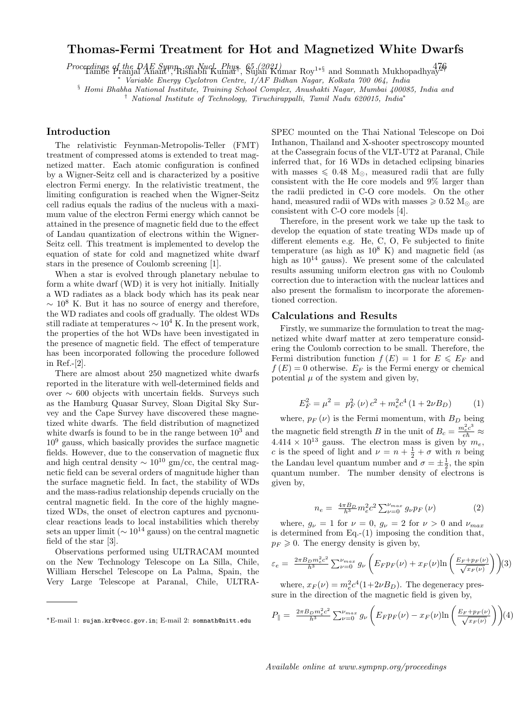## Thomas-Fermi Treatment for Hot and Magnetized White Dwarfs

Proceedings of the DAE Symp. on Nucl. Phys. 65 (2021)<br>Tambe Pranjal Anant†, Rishabh Kumar†, Sujan Kumar Roy<sup>1\*§</sup> and Somnath Mukhopadhyay<sup>24</sup>

<sup>∗</sup> Variable Energy Cyclotron Centre, 1/AF Bidhan Nagar, Kolkata 700 064, India

§ Homi Bhabha National Institute, Training School Complex, Anushakti Nagar, Mumbai 400085, India and

† National Institute of Technology, Tiruchirappalli, Tamil Nadu 620015, India<sup>∗</sup>

## Introduction

The relativistic Feynman-Metropolis-Teller (FMT) treatment of compressed atoms is extended to treat magnetized matter. Each atomic configuration is confined by a Wigner-Seitz cell and is characterized by a positive electron Fermi energy. In the relativistic treatment, the limiting configuration is reached when the Wigner-Seitz cell radius equals the radius of the nucleus with a maximum value of the electron Fermi energy which cannot be attained in the presence of magnetic field due to the effect of Landau quantization of electrons within the Wigner-Seitz cell. This treatment is implemented to develop the equation of state for cold and magnetized white dwarf stars in the presence of Coulomb screening [1].

When a star is evolved through planetary nebulae to form a white dwarf (WD) it is very hot initially. Initially a WD radiates as a black body which has its peak near  $\sim 10^8$  K. But it has no source of energy and therefore, the WD radiates and cools off gradually. The oldest WDs still radiate at temperatures  $\sim 10^4$  K. In the present work, the properties of the hot WDs have been investigated in the presence of magnetic field. The effect of temperature has been incorporated following the procedure followed in Ref.-[2].

There are almost about 250 magnetized white dwarfs reported in the literature with well-determined fields and over ∼ 600 objects with uncertain fields. Surveys such as the Hamburg Quasar Survey, Sloan Digital Sky Survey and the Cape Survey have discovered these magnetized white dwarfs. The field distribution of magnetized white dwarfs is found to be in the range between  $10<sup>3</sup>$  and  $10<sup>9</sup>$  gauss, which basically provides the surface magnetic fields. However, due to the conservation of magnetic flux and high central density  $\sim 10^{10}$  gm/cc, the central magnetic field can be several orders of magnitude higher than the surface magnetic field. In fact, the stability of WDs and the mass-radius relationship depends crucially on the central magnetic field. In the core of the highly magnetized WDs, the onset of electron captures and pycnonuclear reactions leads to local instabilities which thereby sets an upper limit ( $\sim 10^{14}$  gauss) on the central magnetic field of the star [3].

Observations performed using ULTRACAM mounted on the New Technology Telescope on La Silla, Chile, William Herschel Telescope on La Palma, Spain, the Very Large Telescope at Paranal, Chile, ULTRA-

SPEC mounted on the Thai National Telescope on Doi Inthanon, Thailand and X-shooter spectroscopy mounted at the Cassegrain focus of the VLT-UT2 at Paranal, Chile inferred that, for 16 WDs in detached eclipsing binaries with masses  $\leq 0.48$  M<sub>o</sub>, measured radii that are fully consistent with the He core models and 9% larger than the radii predicted in C-O core models. On the other hand, measured radii of WDs with masses  $\geq 0.52$  M<sub> $\odot$ </sub> are consistent with C-O core models [4].

Therefore, in the present work we take up the task to develop the equation of state treating WDs made up of different elements e.g. He, C, O, Fe subjected to finite temperature (as high as  $10^8$  K) and magnetic field (as high as  $10^{14}$  gauss). We present some of the calculated results assuming uniform electron gas with no Coulomb correction due to interaction with the nuclear lattices and also present the formalism to incorporate the aforementioned correction.

## Calculations and Results

Firstly, we summarize the formulation to treat the magnetized white dwarf matter at zero temperature considering the Coulomb correction to be small. Therefore, the Fermi distribution function  $f(E) = 1$  for  $E \leqslant E_F$  and  $f(E) = 0$  otherwise.  $E_F$  is the Fermi energy or chemical potential  $\mu$  of the system and given by,

$$
E_F^2 = \mu^2 = p_F^2(\nu) c^2 + m_e^2 c^4 (1 + 2\nu B_D)
$$
 (1)

where,  $p_F(\nu)$  is the Fermi momentum, with  $B_D$  being the magnetic field strength B in the unit of  $B_c = \frac{m_e^2 c^3}{e \hbar} \approx$ 4.414  $\times$  10<sup>13</sup> gauss. The electron mass is given by  $m_e$ , c is the speed of light and  $\nu = n + \frac{1}{2} + \sigma$  with n being the Landau level quantum number and  $\sigma = \pm \frac{1}{2}$ , the spin quantum number. The number density of electrons is given by,

$$
n_e = \frac{4\pi B_D}{h^3} m_e^2 c^2 \sum_{\nu=0}^{\nu_{max}} g_{\nu} p_F(\nu)
$$
 (2)

where,  $g_{\nu} = 1$  for  $\nu = 0$ ,  $g_{\nu} = 2$  for  $\nu > 0$  and  $\nu_{max}$ is determined from Eq.- $(1)$  imposing the condition that,  $p_F \geqslant 0$ . The energy density is given by,

$$
\varepsilon_e = \frac{2\pi B_D m_e^2 c^2}{h^3} \sum_{\nu=0}^{\nu_{max}} g_{\nu} \left( E_F p_F(\nu) + x_F(\nu) \ln \left( \frac{E_F + p_F(\nu)}{\sqrt{x_F(\nu)}} \right) \right) (3)
$$

where,  $x_F(\nu) = m_e^2 c^4 (1 + 2\nu B_D)$ . The degeneracy pressure in the direction of the magnetic field is given by,

$$
P_{\parallel} = \frac{2\pi B_D m_e^2 c^2}{h^3} \sum_{\nu=0}^{\nu_{max}} g_{\nu} \left( E_F p_F(\nu) - x_F(\nu) \ln \left( \frac{E_F + p_F(\nu)}{\sqrt{x_F(\nu)}} \right) \right) (4)
$$

Available online at www.sympnp.org/proceedings

<sup>∗</sup>E-mail 1: sujan.kr@vecc.gov.in; E-mail 2: somnath@nitt.edu